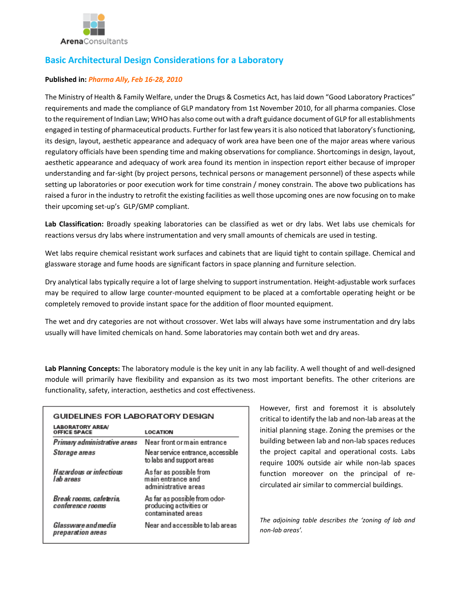

# **Basic Architectural Design Considerations for a Laboratory**

### **Published in:** *Pharma Ally, Feb 16-28, 2010*

The Ministry of Health & Family Welfare, under the Drugs & Cosmetics Act, has laid down "Good Laboratory Practices" requirements and made the compliance of GLP mandatory from 1st November 2010, for all pharma companies. Close to the requirement of Indian Law; WHO has also come out with a draft guidance document of GLP for all establishments engaged in testing of pharmaceutical products. Further for last few years it is also noticed that laboratory's functioning, its design, layout, aesthetic appearance and adequacy of work area have been one of the major areas where various regulatory officials have been spending time and making observations for compliance. Shortcomings in design, layout, aesthetic appearance and adequacy of work area found its mention in inspection report either because of improper understanding and far-sight (by project persons, technical persons or management personnel) of these aspects while setting up laboratories or poor execution work for time constrain / money constrain. The above two publications has raised a furor in the industry to retrofit the existing facilities as well those upcoming ones are now focusing on to make their upcoming set-up's GLP/GMP compliant.

**Lab Classification:** Broadly speaking laboratories can be classified as wet or dry labs. Wet labs use chemicals for reactions versus dry labs where instrumentation and very small amounts of chemicals are used in testing.

Wet labs require chemical resistant work surfaces and cabinets that are liquid tight to contain spillage. Chemical and glassware storage and fume hoods are significant factors in space planning and furniture selection.

Dry analytical labs typically require a lot of large shelving to support instrumentation. Height-adjustable work surfaces may be required to allow large counter-mounted equipment to be placed at a comfortable operating height or be completely removed to provide instant space for the addition of floor mounted equipment.

The wet and dry categories are not without crossover. Wet labs will always have some instrumentation and dry labs usually will have limited chemicals on hand. Some laboratories may contain both wet and dry areas.

**Lab Planning Concepts:** The laboratory module is the key unit in any lab facility. A well thought of and well-designed module will primarily have flexibility and expansion as its two most important benefits. The other criterions are functionality, safety, interaction, aesthetics and cost effectiveness.

| GUIDELINES FOR LABORATORY DESIGN               |                                                                                |
|------------------------------------------------|--------------------------------------------------------------------------------|
| <b>LABORATORY AREA/</b><br><b>OFFICE SPACE</b> | <b>LOCATION</b>                                                                |
| Primary administrative areas                   | Near front ormain entrance                                                     |
| Storage areas                                  | Near service entrance, accessible<br>to labs and support areas                 |
| Hazardous or infectious<br>l ab areas          | As far as possible from<br>main entrance and<br>administrative areas           |
| Break rooms, cafeteria,<br>conference rooms    | As far as possible from odor-<br>producing activities or<br>contaminated areas |
| Glassware and media<br>preparation areas       | Near and accessible to lab areas                                               |

However, first and foremost it is absolutely critical to identify the lab and non-lab areas at the initial planning stage. Zoning the premises or the building between lab and non-lab spaces reduces the project capital and operational costs. Labs require 100% outside air while non-lab spaces function moreover on the principal of recirculated air similar to commercial buildings.

*The adjoining table describes the 'zoning of lab and non-lab areas'.*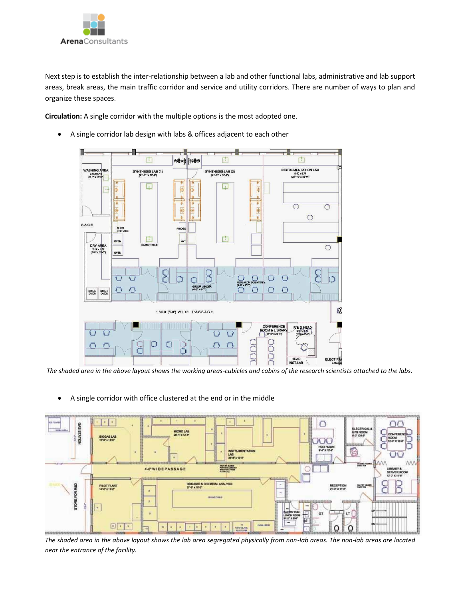

Next step is to establish the inter-relationship between a lab and other functional labs, administrative and lab support areas, break areas, the main traffic corridor and service and utility corridors. There are number of ways to plan and organize these spaces.

**Circulation:** A single corridor with the multiple options is the most adopted one.





*The shaded area in the above layout shows the working areas-cubicles and cabins of the research scientists attached to the labs.*

- $x + i$  $\bigcap$ GAS STATION MICRO LAB UPS RDO<br># 0" X # 4" IOGAS LAI<br>X-F x 12-8" DОC HOD ROOM G **LAB** 4-0 WIDEPASSAGE С ORGANIC & CHEMICAL ANALYSIS<br>ST-8" x 18-2" FOR RAD **PLOT PLANT** RECEPTION **SMARK**  $\overline{z}$ i. STORES  $\bar{\pi}$ n  $\boxed{1}$ O O
- A single corridor with office clustered at the end or in the middle

*The shaded area in the above layout shows the lab area segregated physically from non-lab areas. The non-lab areas are located near the entrance of the facility.*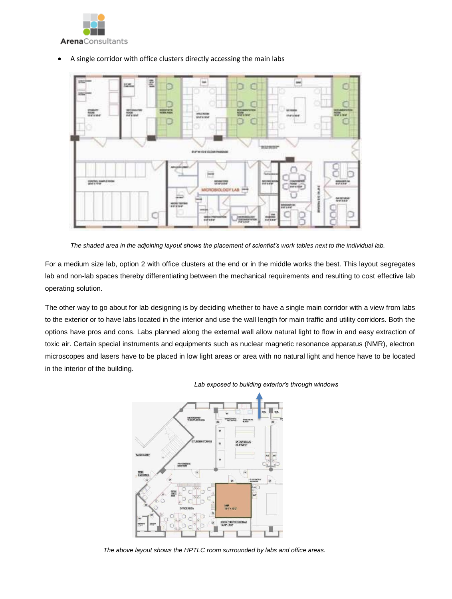



A single corridor with office clusters directly accessing the main labs



For a medium size lab, option 2 with office clusters at the end or in the middle works the best. This layout segregates lab and non-lab spaces thereby differentiating between the mechanical requirements and resulting to cost effective lab operating solution.

The other way to go about for lab designing is by deciding whether to have a single main corridor with a view from labs to the exterior or to have labs located in the interior and use the wall length for main traffic and utility corridors. Both the options have pros and cons. Labs planned along the external wall allow natural light to flow in and easy extraction of toxic air. Certain special instruments and equipments such as nuclear magnetic resonance apparatus (NMR), electron microscopes and lasers have to be placed in low light areas or area with no natural light and hence have to be located in the interior of the building.



*Lab exposed to building exterior's through windows*

 *The above layout shows the HPTLC room surrounded by labs and office areas.*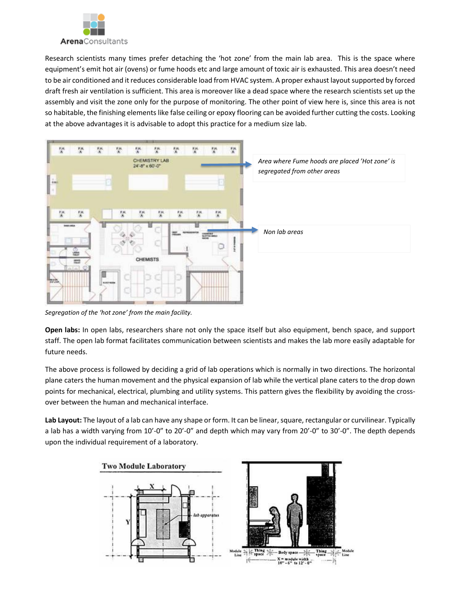

Research scientists many times prefer detaching the 'hot zone' from the main lab area. This is the space where equipment's emit hot air (ovens) or fume hoods etc and large amount of toxic air is exhausted. This area doesn't need to be air conditioned and it reduces considerable load from HVAC system. A proper exhaust layout supported by forced draft fresh air ventilation is sufficient. This area is moreover like a dead space where the research scientists set up the assembly and visit the zone only for the purpose of monitoring. The other point of view here is, since this area is not so habitable, the finishing elements like false ceiling or epoxy flooring can be avoided further cutting the costs. Looking at the above advantages it is advisable to adopt this practice for a medium size lab.



*Segregation of the 'hot zone' from the main facility.* 

**Open labs:** In open labs, researchers share not only the space itself but also equipment, bench space, and support staff. The open lab format facilitates communication between scientists and makes the lab more easily adaptable for future needs.

The above process is followed by deciding a grid of lab operations which is normally in two directions. The horizontal plane caters the human movement and the physical expansion of lab while the vertical plane caters to the drop down points for mechanical, electrical, plumbing and utility systems. This pattern gives the flexibility by avoiding the crossover between the human and mechanical interface.

**Lab Layout:** The layout of a lab can have any shape or form. It can be linear, square, rectangular or curvilinear. Typically a lab has a width varying from 10'-0" to 20'-0" and depth which may vary from 20'-0" to 30'-0". The depth depends upon the individual requirement of a laboratory.

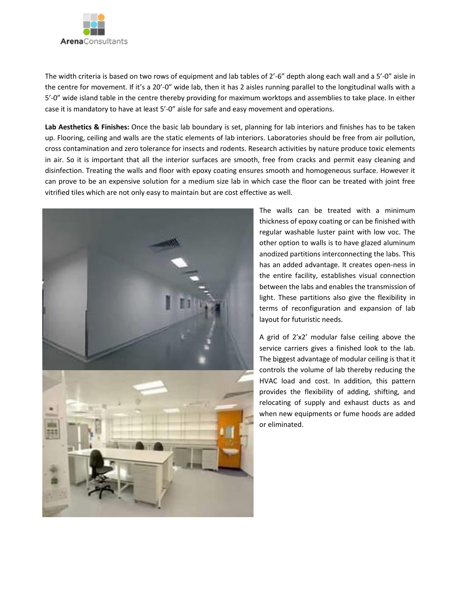

The width criteria is based on two rows of equipment and lab tables of 2'-6" depth along each wall and a 5'-0" aisle in the centre for movement. If it's a 20'-0" wide lab, then it has 2 aisles running parallel to the longitudinal walls with a 5'-0" wide island table in the centre thereby providing for maximum worktops and assemblies to take place. In either case it is mandatory to have at least 5'-0" aisle for safe and easy movement and operations.

**Lab Aesthetics & Finishes:** Once the basic lab boundary is set, planning for lab interiors and finishes has to be taken up. Flooring, ceiling and walls are the static elements of lab interiors. Laboratories should be free from air pollution, cross contamination and zero tolerance for insects and rodents. Research activities by nature produce toxic elements in air. So it is important that all the interior surfaces are smooth, free from cracks and permit easy cleaning and disinfection. Treating the walls and floor with epoxy coating ensures smooth and homogeneous surface. However it can prove to be an expensive solution for a medium size lab in which case the floor can be treated with joint free vitrified tiles which are not only easy to maintain but are cost effective as well.



The walls can be treated with a minimum thickness of epoxy coating or can be finished with regular washable luster paint with low voc. The other option to walls is to have glazed aluminum anodized partitions interconnecting the labs. This has an added advantage. It creates open-ness in the entire facility, establishes visual connection between the labs and enables the transmission of light. These partitions also give the flexibility in terms of reconfiguration and expansion of lab layout for futuristic needs.

A grid of 2'x2' modular false ceiling above the service carriers gives a finished look to the lab. The biggest advantage of modular ceiling is that it controls the volume of lab thereby reducing the HVAC load and cost. In addition, this pattern provides the flexibility of adding, shifting, and relocating of supply and exhaust ducts as and when new equipments or fume hoods are added or eliminated.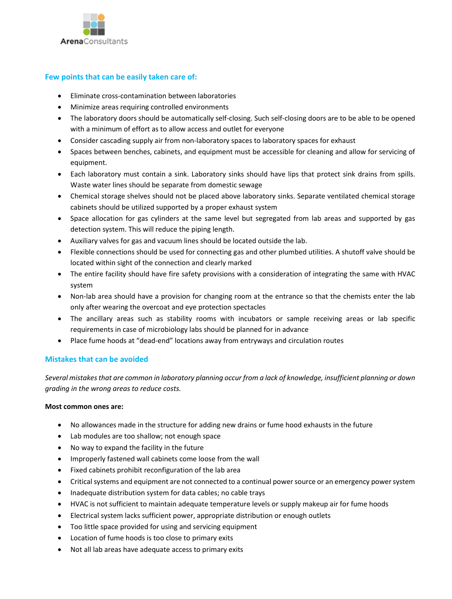

# **Few points that can be easily taken care of:**

- Eliminate cross-contamination between laboratories
- Minimize areas requiring controlled environments
- The laboratory doors should be automatically self-closing. Such self-closing doors are to be able to be opened with a minimum of effort as to allow access and outlet for everyone
- Consider cascading supply air from non-laboratory spaces to laboratory spaces for exhaust
- Spaces between benches, cabinets, and equipment must be accessible for cleaning and allow for servicing of equipment.
- Each laboratory must contain a sink. Laboratory sinks should have lips that protect sink drains from spills. Waste water lines should be separate from domestic sewage
- Chemical storage shelves should not be placed above laboratory sinks. Separate ventilated chemical storage cabinets should be utilized supported by a proper exhaust system
- Space allocation for gas cylinders at the same level but segregated from lab areas and supported by gas detection system. This will reduce the piping length.
- Auxiliary valves for gas and vacuum lines should be located outside the lab.
- Flexible connections should be used for connecting gas and other plumbed utilities. A shutoff valve should be located within sight of the connection and clearly marked
- The entire facility should have fire safety provisions with a consideration of integrating the same with HVAC system
- Non-lab area should have a provision for changing room at the entrance so that the chemists enter the lab only after wearing the overcoat and eye protection spectacles
- The ancillary areas such as stability rooms with incubators or sample receiving areas or lab specific requirements in case of microbiology labs should be planned for in advance
- Place fume hoods at "dead-end" locations away from entryways and circulation routes

#### **Mistakes that can be avoided**

*Several mistakes that are common in laboratory planning occur from a lack of knowledge, insufficient planning or down grading in the wrong areas to reduce costs.*

#### **Most common ones are:**

- No allowances made in the structure for adding new drains or fume hood exhausts in the future
- Lab modules are too shallow; not enough space
- No way to expand the facility in the future
- Improperly fastened wall cabinets come loose from the wall
- Fixed cabinets prohibit reconfiguration of the lab area
- Critical systems and equipment are not connected to a continual power source or an emergency power system
- Inadequate distribution system for data cables; no cable trays
- HVAC is not sufficient to maintain adequate temperature levels or supply makeup air for fume hoods
- Electrical system lacks sufficient power, appropriate distribution or enough outlets
- Too little space provided for using and servicing equipment
- Location of fume hoods is too close to primary exits
- Not all lab areas have adequate access to primary exits